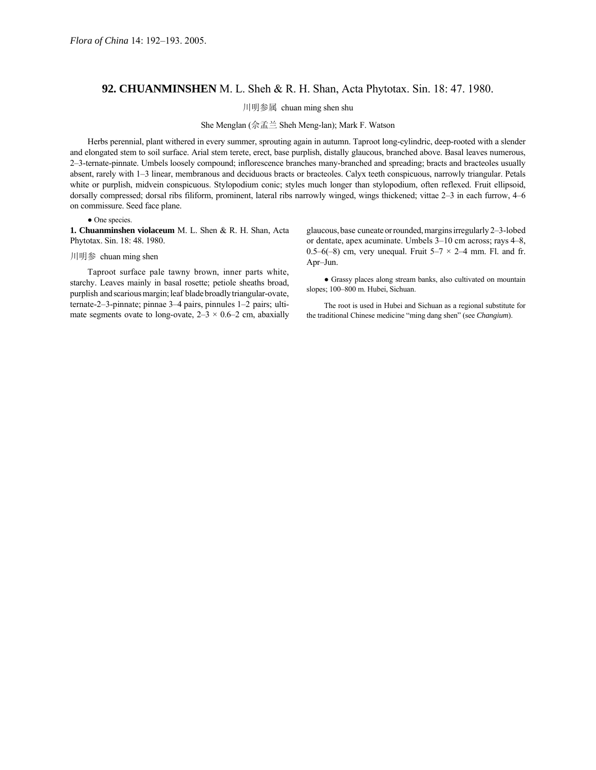## **92. CHUANMINSHEN** M. L. Sheh & R. H. Shan, Acta Phytotax. Sin. 18: 47. 1980.

川明参属 chuan ming shen shu

She Menglan (佘孟兰 Sheh Meng-lan); Mark F. Watson

Herbs perennial, plant withered in every summer, sprouting again in autumn. Taproot long-cylindric, deep-rooted with a slender and elongated stem to soil surface. Arial stem terete, erect, base purplish, distally glaucous, branched above. Basal leaves numerous, 2–3-ternate-pinnate. Umbels loosely compound; inflorescence branches many-branched and spreading; bracts and bracteoles usually absent, rarely with 1–3 linear, membranous and deciduous bracts or bracteoles. Calyx teeth conspicuous, narrowly triangular. Petals white or purplish, midvein conspicuous. Stylopodium conic; styles much longer than stylopodium, often reflexed. Fruit ellipsoid, dorsally compressed; dorsal ribs filiform, prominent, lateral ribs narrowly winged, wings thickened; vittae 2–3 in each furrow, 4–6 on commissure. Seed face plane.

## • One species.

**1. Chuanminshen violaceum** M. L. Shen & R. H. Shan, Acta Phytotax. Sin. 18: 48. 1980.

## 川明参 chuan ming shen

Taproot surface pale tawny brown, inner parts white, starchy. Leaves mainly in basal rosette; petiole sheaths broad, purplish and scarious margin; leaf blade broadly triangular-ovate, ternate-2-3-pinnate; pinnae 3-4 pairs, pinnules 1-2 pairs; ultimate segments ovate to long-ovate,  $2-3 \times 0.6-2$  cm, abaxially glaucous, base cuneate or rounded, margins irregularly 2-3-lobed or dentate, apex acuminate. Umbels 3–10 cm across; rays 4–8, 0.5–6(–8) cm, very unequal. Fruit  $5-7 \times 2-4$  mm. Fl. and fr. Apr-Jun.

● Grassy places along stream banks, also cultivated on mountain slopes; 100-800 m. Hubei, Sichuan.

The root is used in Hubei and Sichuan as a regional substitute for the traditional Chinese medicine "ming dang shen" (see *Changium*).